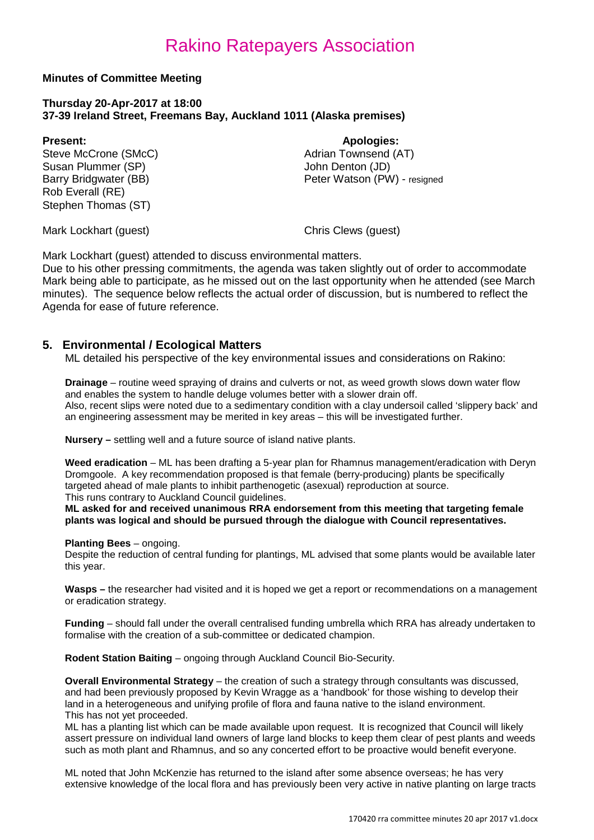#### **Minutes of Committee Meeting**

#### **Thursday 20-Apr-2017 at 18:00 37-39 Ireland Street, Freemans Bay, Auckland 1011 (Alaska premises)**

**Present: Apologies: Apologies: Apologies: Adrian Townsend (AT)** Steve McCrone (SMcC) <br>
Susan Plummer (SP) 
and Adrian Townsend<br>
Uohn Denton (JD) Susan Plummer (SP)<br>Barry Bridgwater (BB) Rob Everall (RE) Stephen Thomas (ST)

Peter Watson (PW) - resigned

Mark Lockhart (guest) Chris Clews (guest)

Mark Lockhart (guest) attended to discuss environmental matters.

Due to his other pressing commitments, the agenda was taken slightly out of order to accommodate Mark being able to participate, as he missed out on the last opportunity when he attended (see March minutes). The sequence below reflects the actual order of discussion, but is numbered to reflect the Agenda for ease of future reference.

### **5. Environmental / Ecological Matters**

ML detailed his perspective of the key environmental issues and considerations on Rakino:

**Drainage** – routine weed spraying of drains and culverts or not, as weed growth slows down water flow and enables the system to handle deluge volumes better with a slower drain off. Also, recent slips were noted due to a sedimentary condition with a clay undersoil called 'slippery back' and an engineering assessment may be merited in key areas – this will be investigated further.

**Nursery –** settling well and a future source of island native plants.

**Weed eradication** – ML has been drafting a 5-year plan for Rhamnus management/eradication with Deryn Dromgoole. A key recommendation proposed is that female (berry-producing) plants be specifically targeted ahead of male plants to inhibit parthenogetic (asexual) reproduction at source. This runs contrary to Auckland Council guidelines.

**ML asked for and received unanimous RRA endorsement from this meeting that targeting female plants was logical and should be pursued through the dialogue with Council representatives.** 

#### **Planting Bees** – ongoing.

Despite the reduction of central funding for plantings, ML advised that some plants would be available later this year.

**Wasps –** the researcher had visited and it is hoped we get a report or recommendations on a management or eradication strategy.

**Funding** – should fall under the overall centralised funding umbrella which RRA has already undertaken to formalise with the creation of a sub-committee or dedicated champion.

**Rodent Station Baiting** – ongoing through Auckland Council Bio-Security.

**Overall Environmental Strategy** – the creation of such a strategy through consultants was discussed, and had been previously proposed by Kevin Wragge as a 'handbook' for those wishing to develop their land in a heterogeneous and unifying profile of flora and fauna native to the island environment. This has not yet proceeded.

ML has a planting list which can be made available upon request. It is recognized that Council will likely assert pressure on individual land owners of large land blocks to keep them clear of pest plants and weeds such as moth plant and Rhamnus, and so any concerted effort to be proactive would benefit everyone.

ML noted that John McKenzie has returned to the island after some absence overseas; he has very extensive knowledge of the local flora and has previously been very active in native planting on large tracts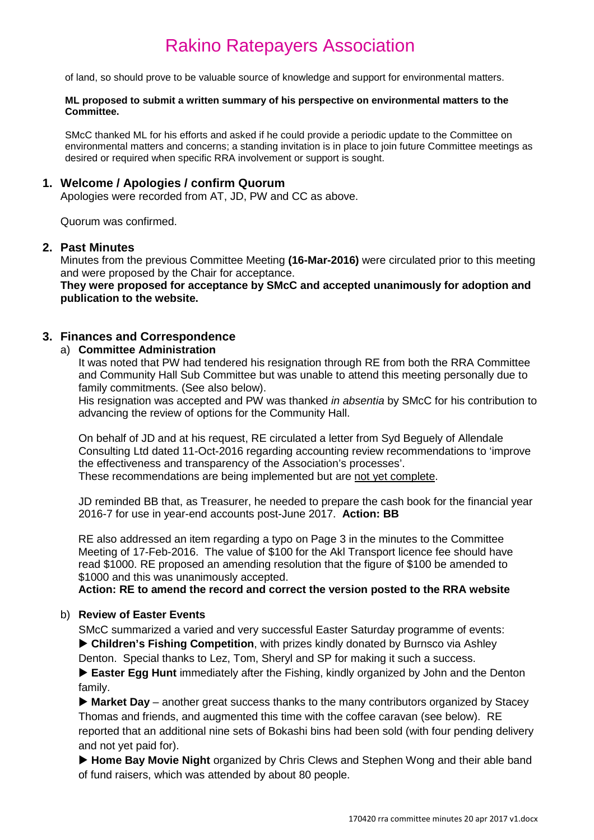of land, so should prove to be valuable source of knowledge and support for environmental matters.

#### **ML proposed to submit a written summary of his perspective on environmental matters to the Committee.**

SMcC thanked ML for his efforts and asked if he could provide a periodic update to the Committee on environmental matters and concerns; a standing invitation is in place to join future Committee meetings as desired or required when specific RRA involvement or support is sought.

#### **1. Welcome / Apologies / confirm Quorum**

Apologies were recorded from AT, JD, PW and CC as above.

Quorum was confirmed.

#### **2. Past Minutes**

Minutes from the previous Committee Meeting **(16-Mar-2016)** were circulated prior to this meeting and were proposed by the Chair for acceptance.

**They were proposed for acceptance by SMcC and accepted unanimously for adoption and publication to the website.**

#### **3. Finances and Correspondence**

#### a) **Committee Administration**

It was noted that PW had tendered his resignation through RE from both the RRA Committee and Community Hall Sub Committee but was unable to attend this meeting personally due to family commitments. (See also below).

His resignation was accepted and PW was thanked *in absentia* by SMcC for his contribution to advancing the review of options for the Community Hall.

On behalf of JD and at his request, RE circulated a letter from Syd Beguely of Allendale Consulting Ltd dated 11-Oct-2016 regarding accounting review recommendations to 'improve the effectiveness and transparency of the Association's processes'. These recommendations are being implemented but are not yet complete.

JD reminded BB that, as Treasurer, he needed to prepare the cash book for the financial year 2016-7 for use in year-end accounts post-June 2017. **Action: BB**

RE also addressed an item regarding a typo on Page 3 in the minutes to the Committee Meeting of 17-Feb-2016. The value of \$100 for the Akl Transport licence fee should have read \$1000. RE proposed an amending resolution that the figure of \$100 be amended to \$1000 and this was unanimously accepted.

#### **Action: RE to amend the record and correct the version posted to the RRA website**

#### b) **Review of Easter Events**

SMcC summarized a varied and very successful Easter Saturday programme of events: **Children's Fishing Competition**, with prizes kindly donated by Burnsco via Ashley Denton. Special thanks to Lez, Tom, Sheryl and SP for making it such a success.

**Easter Egg Hunt** immediately after the Fishing, kindly organized by John and the Denton family.

▶ Market Day – another great success thanks to the many contributors organized by Stacey Thomas and friends, and augmented this time with the coffee caravan (see below). RE reported that an additional nine sets of Bokashi bins had been sold (with four pending delivery and not yet paid for).

▶ Home Bay Movie Night organized by Chris Clews and Stephen Wong and their able band of fund raisers, which was attended by about 80 people.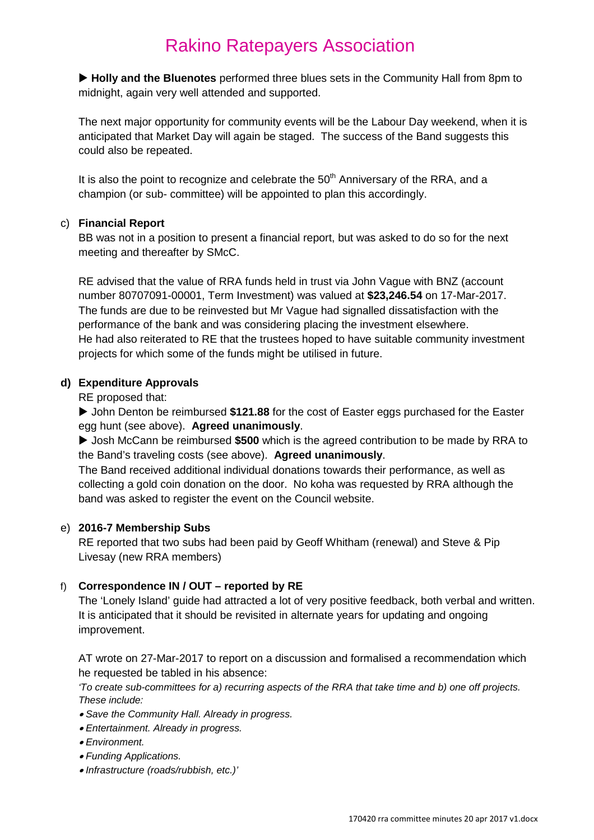**Holly and the Bluenotes** performed three blues sets in the Community Hall from 8pm to midnight, again very well attended and supported.

The next major opportunity for community events will be the Labour Day weekend, when it is anticipated that Market Day will again be staged. The success of the Band suggests this could also be repeated.

It is also the point to recognize and celebrate the  $50<sup>th</sup>$  Anniversary of the RRA, and a champion (or sub- committee) will be appointed to plan this accordingly.

#### c) **Financial Report**

BB was not in a position to present a financial report, but was asked to do so for the next meeting and thereafter by SMcC.

RE advised that the value of RRA funds held in trust via John Vague with BNZ (account number 80707091-00001, Term Investment) was valued at **\$23,246.54** on 17-Mar-2017. The funds are due to be reinvested but Mr Vague had signalled dissatisfaction with the performance of the bank and was considering placing the investment elsewhere. He had also reiterated to RE that the trustees hoped to have suitable community investment projects for which some of the funds might be utilised in future.

#### **d) Expenditure Approvals**

RE proposed that:

 John Denton be reimbursed **\$121.88** for the cost of Easter eggs purchased for the Easter egg hunt (see above). **Agreed unanimously**.

▶ Josh McCann be reimbursed \$500 which is the agreed contribution to be made by RRA to the Band's traveling costs (see above). **Agreed unanimously**.

The Band received additional individual donations towards their performance, as well as collecting a gold coin donation on the door. No koha was requested by RRA although the band was asked to register the event on the Council website.

#### e) **2016-7 Membership Subs**

RE reported that two subs had been paid by Geoff Whitham (renewal) and Steve & Pip Livesay (new RRA members)

### f) **Correspondence IN / OUT – reported by RE**

The 'Lonely Island' guide had attracted a lot of very positive feedback, both verbal and written. It is anticipated that it should be revisited in alternate years for updating and ongoing improvement.

AT wrote on 27-Mar-2017 to report on a discussion and formalised a recommendation which he requested be tabled in his absence:

*'To create sub-committees for a) recurring aspects of the RRA that take time and b) one off projects. These include:*

- *Save the Community Hall. Already in progress.*
- *Entertainment. Already in progress.*
- *Environment.*
- *Funding Applications.*
- *Infrastructure (roads/rubbish, etc.)'*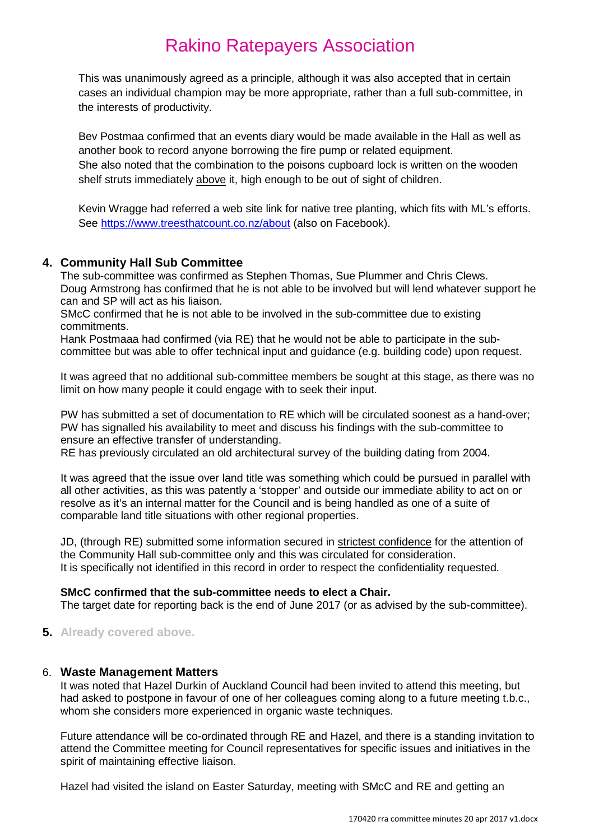This was unanimously agreed as a principle, although it was also accepted that in certain cases an individual champion may be more appropriate, rather than a full sub-committee, in the interests of productivity.

Bev Postmaa confirmed that an events diary would be made available in the Hall as well as another book to record anyone borrowing the fire pump or related equipment. She also noted that the combination to the poisons cupboard lock is written on the wooden shelf struts immediately above it, high enough to be out of sight of children.

Kevin Wragge had referred a web site link for native tree planting, which fits with ML's efforts. See<https://www.treesthatcount.co.nz/about> (also on Facebook).

### **4. Community Hall Sub Committee**

The sub-committee was confirmed as Stephen Thomas, Sue Plummer and Chris Clews. Doug Armstrong has confirmed that he is not able to be involved but will lend whatever support he can and SP will act as his liaison.

SMcC confirmed that he is not able to be involved in the sub-committee due to existing commitments.

Hank Postmaaa had confirmed (via RE) that he would not be able to participate in the subcommittee but was able to offer technical input and guidance (e.g. building code) upon request.

It was agreed that no additional sub-committee members be sought at this stage, as there was no limit on how many people it could engage with to seek their input.

PW has submitted a set of documentation to RE which will be circulated soonest as a hand-over; PW has signalled his availability to meet and discuss his findings with the sub-committee to ensure an effective transfer of understanding.

RE has previously circulated an old architectural survey of the building dating from 2004.

It was agreed that the issue over land title was something which could be pursued in parallel with all other activities, as this was patently a 'stopper' and outside our immediate ability to act on or resolve as it's an internal matter for the Council and is being handled as one of a suite of comparable land title situations with other regional properties.

JD, (through RE) submitted some information secured in strictest confidence for the attention of the Community Hall sub-committee only and this was circulated for consideration. It is specifically not identified in this record in order to respect the confidentiality requested.

#### **SMcC confirmed that the sub-committee needs to elect a Chair.**

The target date for reporting back is the end of June 2017 (or as advised by the sub-committee).

**5. Already covered above.**

#### 6. **Waste Management Matters**

It was noted that Hazel Durkin of Auckland Council had been invited to attend this meeting, but had asked to postpone in favour of one of her colleagues coming along to a future meeting t.b.c., whom she considers more experienced in organic waste techniques.

Future attendance will be co-ordinated through RE and Hazel, and there is a standing invitation to attend the Committee meeting for Council representatives for specific issues and initiatives in the spirit of maintaining effective liaison.

Hazel had visited the island on Easter Saturday, meeting with SMcC and RE and getting an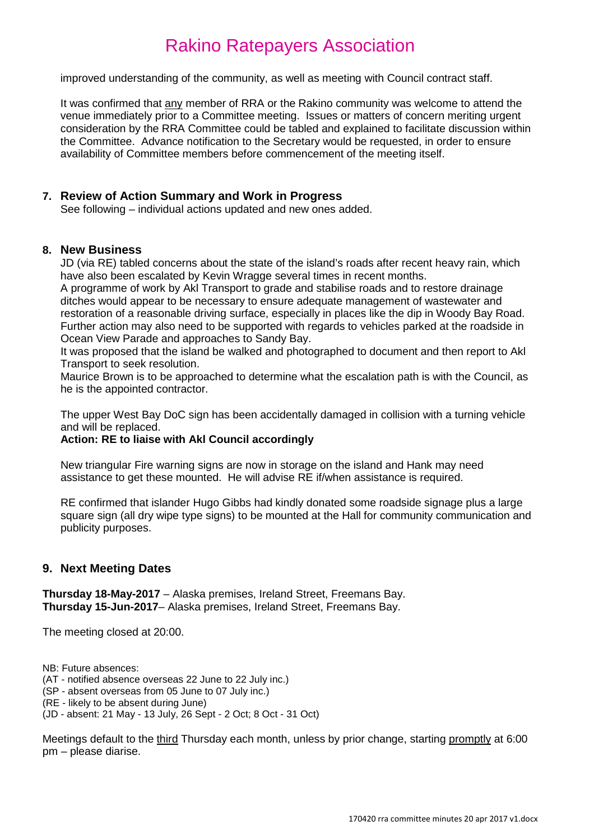improved understanding of the community, as well as meeting with Council contract staff.

It was confirmed that any member of RRA or the Rakino community was welcome to attend the venue immediately prior to a Committee meeting. Issues or matters of concern meriting urgent consideration by the RRA Committee could be tabled and explained to facilitate discussion within the Committee. Advance notification to the Secretary would be requested, in order to ensure availability of Committee members before commencement of the meeting itself.

#### **7. Review of Action Summary and Work in Progress**

See following – individual actions updated and new ones added.

#### **8. New Business**

JD (via RE) tabled concerns about the state of the island's roads after recent heavy rain, which have also been escalated by Kevin Wragge several times in recent months.

A programme of work by Akl Transport to grade and stabilise roads and to restore drainage ditches would appear to be necessary to ensure adequate management of wastewater and restoration of a reasonable driving surface, especially in places like the dip in Woody Bay Road. Further action may also need to be supported with regards to vehicles parked at the roadside in Ocean View Parade and approaches to Sandy Bay.

It was proposed that the island be walked and photographed to document and then report to Akl Transport to seek resolution.

Maurice Brown is to be approached to determine what the escalation path is with the Council, as he is the appointed contractor.

The upper West Bay DoC sign has been accidentally damaged in collision with a turning vehicle and will be replaced.

#### **Action: RE to liaise with Akl Council accordingly**

New triangular Fire warning signs are now in storage on the island and Hank may need assistance to get these mounted. He will advise RE if/when assistance is required.

RE confirmed that islander Hugo Gibbs had kindly donated some roadside signage plus a large square sign (all dry wipe type signs) to be mounted at the Hall for community communication and publicity purposes.

### **9. Next Meeting Dates**

**Thursday 18-May-2017** – Alaska premises, Ireland Street, Freemans Bay. **Thursday 15-Jun-2017**– Alaska premises, Ireland Street, Freemans Bay.

The meeting closed at 20:00.

NB: Future absences:

(AT - notified absence overseas 22 June to 22 July inc.)

(SP - absent overseas from 05 June to 07 July inc.)

(RE - likely to be absent during June)

(JD - absent: 21 May - 13 July, 26 Sept - 2 Oct; 8 Oct - 31 Oct)

Meetings default to the third Thursday each month, unless by prior change, starting promptly at 6:00 pm – please diarise.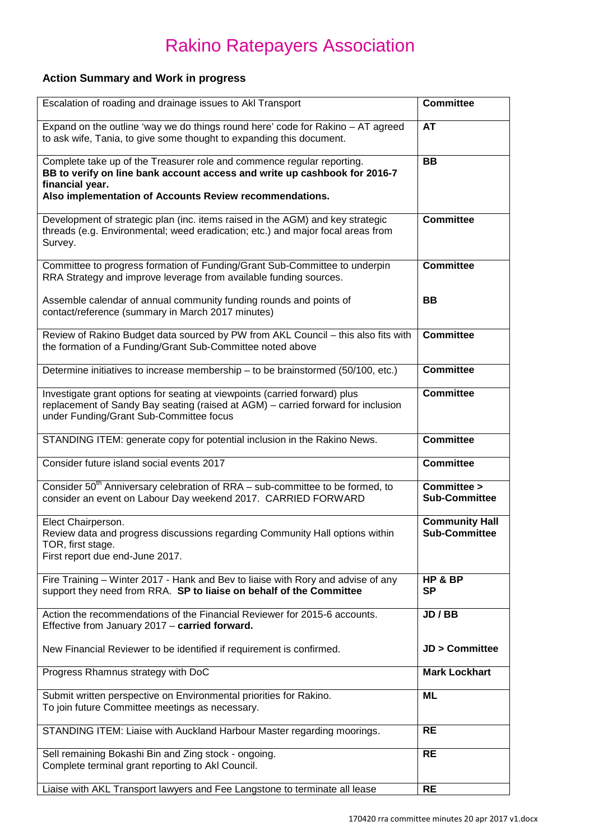### **Action Summary and Work in progress**

| Escalation of roading and drainage issues to AkI Transport                                                                                                                                                                        | <b>Committee</b>                              |
|-----------------------------------------------------------------------------------------------------------------------------------------------------------------------------------------------------------------------------------|-----------------------------------------------|
| Expand on the outline 'way we do things round here' code for Rakino - AT agreed<br>to ask wife, Tania, to give some thought to expanding this document.                                                                           | <b>AT</b>                                     |
| Complete take up of the Treasurer role and commence regular reporting.<br>BB to verify on line bank account access and write up cashbook for 2016-7<br>financial year.<br>Also implementation of Accounts Review recommendations. | <b>BB</b>                                     |
| Development of strategic plan (inc. items raised in the AGM) and key strategic<br>threads (e.g. Environmental; weed eradication; etc.) and major focal areas from<br>Survey.                                                      | <b>Committee</b>                              |
| Committee to progress formation of Funding/Grant Sub-Committee to underpin<br>RRA Strategy and improve leverage from available funding sources.                                                                                   | <b>Committee</b>                              |
| Assemble calendar of annual community funding rounds and points of<br>contact/reference (summary in March 2017 minutes)                                                                                                           | <b>BB</b>                                     |
| Review of Rakino Budget data sourced by PW from AKL Council - this also fits with<br>the formation of a Funding/Grant Sub-Committee noted above                                                                                   | <b>Committee</b>                              |
| Determine initiatives to increase membership - to be brainstormed (50/100, etc.)                                                                                                                                                  | <b>Committee</b>                              |
| Investigate grant options for seating at viewpoints (carried forward) plus<br>replacement of Sandy Bay seating (raised at AGM) - carried forward for inclusion<br>under Funding/Grant Sub-Committee focus                         | <b>Committee</b>                              |
| STANDING ITEM: generate copy for potential inclusion in the Rakino News.                                                                                                                                                          | <b>Committee</b>                              |
| Consider future island social events 2017                                                                                                                                                                                         | <b>Committee</b>                              |
| Consider 50 <sup>th</sup> Anniversary celebration of RRA - sub-committee to be formed, to<br>consider an event on Labour Day weekend 2017. CARRIED FORWARD                                                                        | Committee ><br><b>Sub-Committee</b>           |
| Elect Chairperson.<br>Review data and progress discussions regarding Community Hall options within<br>TOR, first stage.<br>First report due end-June 2017.                                                                        | <b>Community Hall</b><br><b>Sub-Committee</b> |
| Fire Training - Winter 2017 - Hank and Bev to liaise with Rory and advise of any<br>support they need from RRA. SP to liaise on behalf of the Committee                                                                           | HP & BP<br><b>SP</b>                          |
| Action the recommendations of the Financial Reviewer for 2015-6 accounts.<br>Effective from January 2017 - carried forward.                                                                                                       | JD / BB                                       |
| New Financial Reviewer to be identified if requirement is confirmed.                                                                                                                                                              | <b>JD &gt; Committee</b>                      |
| Progress Rhamnus strategy with DoC                                                                                                                                                                                                | <b>Mark Lockhart</b>                          |
| Submit written perspective on Environmental priorities for Rakino.<br>To join future Committee meetings as necessary.                                                                                                             | ML                                            |
| STANDING ITEM: Liaise with Auckland Harbour Master regarding moorings.                                                                                                                                                            | <b>RE</b>                                     |
| Sell remaining Bokashi Bin and Zing stock - ongoing.<br>Complete terminal grant reporting to Akl Council.                                                                                                                         | <b>RE</b>                                     |
| Liaise with AKL Transport lawyers and Fee Langstone to terminate all lease                                                                                                                                                        | <b>RE</b>                                     |